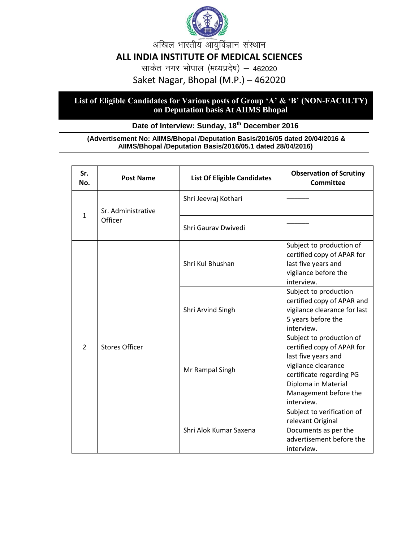

अखिल भारतीय आयुर्विज्ञान संस्थान

## **ALL INDIA INSTITUTE OF MEDICAL SCIENCES**

साकेत नगर भोपाल (मध्यप्रदेष) – 462020

Saket Nagar, Bhopal (M.P.) – 462020

## **List of Eligible Candidates for Various posts of Group 'A' & 'B' (NON-FACULTY) on Deputation basis At AIIMS Bhopal**

## **Date of Interview: Sunday, 18th December 2016**

## **(Advertisement No: AIIMS/Bhopal /Deputation Basis/2016/05 dated 20/04/2016 & AIIMS/Bhopal /Deputation Basis/2016/05.1 dated 28/04/2016)**

| Sr.<br>No.     | <b>Post Name</b>              | <b>List Of Eligible Candidates</b> | <b>Observation of Scrutiny</b><br><b>Committee</b>                                                                                                                                             |
|----------------|-------------------------------|------------------------------------|------------------------------------------------------------------------------------------------------------------------------------------------------------------------------------------------|
| $\mathbf{1}$   | Sr. Administrative<br>Officer | Shri Jeevraj Kothari               |                                                                                                                                                                                                |
|                |                               | Shri Gaurav Dwivedi                |                                                                                                                                                                                                |
| $\overline{2}$ | <b>Stores Officer</b>         | Shri Kul Bhushan                   | Subject to production of<br>certified copy of APAR for<br>last five years and<br>vigilance before the<br>interview.                                                                            |
|                |                               | Shri Arvind Singh                  | Subject to production<br>certified copy of APAR and<br>vigilance clearance for last<br>5 years before the<br>interview.                                                                        |
|                |                               | Mr Rampal Singh                    | Subject to production of<br>certified copy of APAR for<br>last five years and<br>vigilance clearance<br>certificate regarding PG<br>Diploma in Material<br>Management before the<br>interview. |
|                |                               | Shri Alok Kumar Saxena             | Subject to verification of<br>relevant Original<br>Documents as per the<br>advertisement before the<br>interview.                                                                              |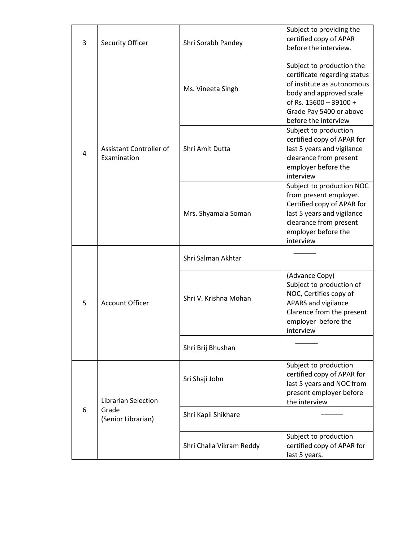| 3 | <b>Security Officer</b>                                   | Shri Sorabh Pandey       | Subject to providing the<br>certified copy of APAR<br>before the interview.                                                                                                                     |
|---|-----------------------------------------------------------|--------------------------|-------------------------------------------------------------------------------------------------------------------------------------------------------------------------------------------------|
| 4 | Assistant Controller of<br>Examination                    | Ms. Vineeta Singh        | Subject to production the<br>certificate regarding status<br>of institute as autonomous<br>body and approved scale<br>of Rs. 15600 - 39100 +<br>Grade Pay 5400 or above<br>before the interview |
|   |                                                           | Shri Amit Dutta          | Subject to production<br>certified copy of APAR for<br>last 5 years and vigilance<br>clearance from present<br>employer before the<br>interview                                                 |
|   |                                                           | Mrs. Shyamala Soman      | Subject to production NOC<br>from present employer.<br>Certified copy of APAR for<br>last 5 years and vigilance<br>clearance from present<br>employer before the<br>interview                   |
| 5 | <b>Account Officer</b>                                    | Shri Salman Akhtar       |                                                                                                                                                                                                 |
|   |                                                           | Shri V. Krishna Mohan    | (Advance Copy)<br>Subject to production of<br>NOC, Certifies copy of<br>APARS and vigilance<br>Clarence from the present<br>employer before the<br>interview                                    |
|   |                                                           | Shri Brij Bhushan        |                                                                                                                                                                                                 |
| 6 | <b>Librarian Selection</b><br>Grade<br>(Senior Librarian) | Sri Shaji John           | Subject to production<br>certified copy of APAR for<br>last 5 years and NOC from<br>present employer before<br>the interview                                                                    |
|   |                                                           | Shri Kapil Shikhare      |                                                                                                                                                                                                 |
|   |                                                           | Shri Challa Vikram Reddy | Subject to production<br>certified copy of APAR for<br>last 5 years.                                                                                                                            |